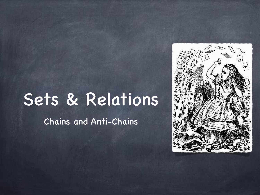## Sets & Relations

Chains and Anti-Chains

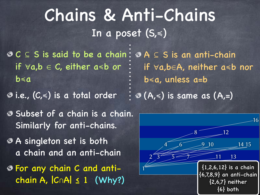#### Chains & Anti-Chains In a poset (S,≼)

- $C \subseteq S$  is said to be a chain:  $\Theta A \subseteq S$  is an anti-chain if ∀a,b ∈ C, either a≼b or b≼a
- 

Subset of a chain is a chain. Similarly for anti-chains.

A singleton set is both a chain and an anti-chain

For any chain C and antichain A, |C∩A| ≤ 1 (Why?)

i.e., (C,≼) is a total order (A,≼) is same as (A,=) if ∀a,b∈A, neither a≼b nor b≼a, unless a=b

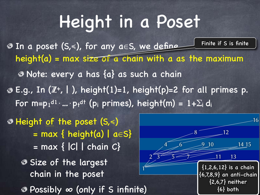## Height in a Poset

In a poset (S,≼), for any a∈S, we define height(a) = max size of a chain with a as the maximum Note: every a has {a} as such a chain E.g., In (Z**<sup>+</sup>**, | ), height(1)=1, height(p)=2 for all primes p. For m=p $_1$ <sup>d1</sup>·...·p<sub>t</sub>dt (p<sub>i</sub> primes), height(m) = 1+ $\Sigma_{\mathsf{i}}$  d<sub>i</sub> Finite if S is finite

 $=$  max  $\{ |C| | \text{ chain } C \}$ Size of the largest chain in the poset Possibly ∞ (only if S infinite) Height of the poset (S,≼) = max { height(a) | a∈S}

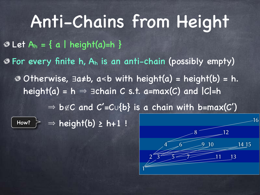Anti-Chains from Height Otherwise, ∃a≠b, a≼b with height(a) = height(b) = h. height(a) = h  $\Rightarrow$   $\exists$ chain C s.t. a=max(C) and  $|C|=h$  $\Rightarrow$  b∉C and C'=C∪{b} is a chain with b=max(C') How?  $\geq$   $\Rightarrow$  height(b)  $\geq$  h+1 !  $\odot$  Let A<sub>h</sub> = { a | height(a)=h }  $\circ$  For every finite h,  $A_h$  is an anti-chain (possibly empty) 16  $8$  12

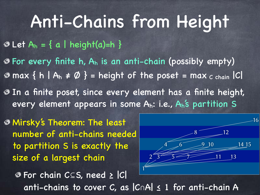### Anti-Chains from Height

 $\odot$  Let A<sub>h</sub> = { a | height(a)=h }

For every finite h, Ah is an anti-chain (possibly empty) In a finite poset, since every element has a finite height, every element appears in some Ah: i.e., Ah's partition S  $\circ$  max { h | A<sub>h</sub>  $\neq \emptyset$  } = height of the poset = max c chain | C

Mirsky's Theorem: The least number of anti-chains needed to partition S is exactly the size of a largest chain



For chain C⊆S, need ≥ |C| anti-chains to cover C, as |C∩A| ≤ 1 for anti-chain A